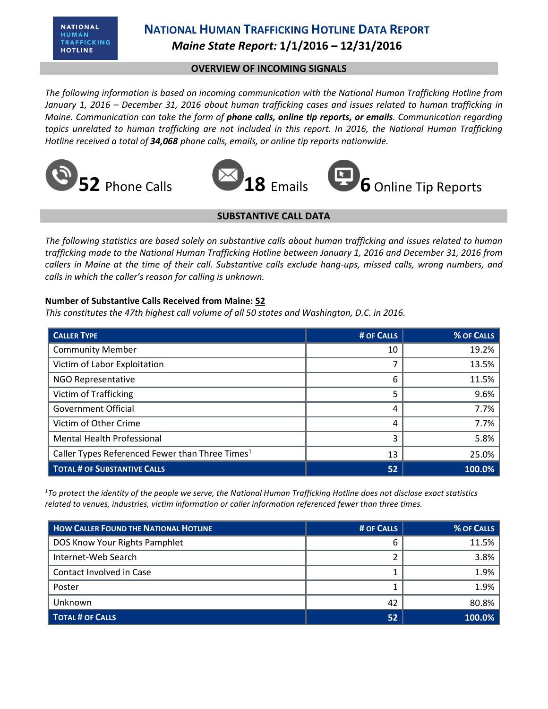## **NATIONAL HUMAN TRAFFICKING HOTLINE DATA REPORT** *Maine State Report:* **1/1/2016 – 12/31/2016**

### **OVERVIEW OF INCOMING SIGNALS**

*The following information is based on incoming communication with the National Human Trafficking Hotline from January 1, 2016 – December 31, 2016 about human trafficking cases and issues related to human trafficking in Maine. Communication can take the form of phone calls, online tip reports, or emails. Communication regarding topics unrelated to human trafficking are not included in this report. In 2016, the National Human Trafficking Hotline received a total of 34,068 phone calls, emails, or online tip reports nationwide.*





#### **SUBSTANTIVE CALL DATA**

*The following statistics are based solely on substantive calls about human trafficking and issues related to human trafficking made to the National Human Trafficking Hotline between January 1, 2016 and December 31, 2016 from callers in Maine at the time of their call. Substantive calls exclude hang-ups, missed calls, wrong numbers, and calls in which the caller's reason for calling is unknown.*

#### **Number of Substantive Calls Received from Maine: 52**

*This constitutes the 47th highest call volume of all 50 states and Washington, D.C. in 2016.*

| <b>CALLER TYPE</b>                                          | # OF CALLS | % OF CALLS |
|-------------------------------------------------------------|------------|------------|
| <b>Community Member</b>                                     | 10         | 19.2%      |
| Victim of Labor Exploitation                                |            | 13.5%      |
| <b>NGO Representative</b>                                   | 6          | 11.5%      |
| Victim of Trafficking                                       | 5          | 9.6%       |
| <b>Government Official</b>                                  | 4          | 7.7%       |
| Victim of Other Crime                                       | 4          | 7.7%       |
| <b>Mental Health Professional</b>                           | 3          | 5.8%       |
| Caller Types Referenced Fewer than Three Times <sup>1</sup> | 13         | 25.0%      |
| <b>TOTAL # OF SUBSTANTIVE CALLS</b>                         | 52         | 100.0%     |

*<sup>1</sup>To protect the identity of the people we serve, the National Human Trafficking Hotline does not disclose exact statistics related to venues, industries, victim information or caller information referenced fewer than three times.* 

| <b>HOW CALLER FOUND THE NATIONAL HOTLINE</b> | # OF CALLS | % OF CALLS  |
|----------------------------------------------|------------|-------------|
| DOS Know Your Rights Pamphlet                | h          | 11.5%       |
| Internet-Web Search                          |            | 3.8%        |
| Contact Involved in Case                     |            | 1.9%        |
| Poster                                       |            | 1.9%        |
| Unknown                                      | 42         | 80.8%       |
| <b>TOTAL # OF CALLS</b>                      | 52         | $ 100.0\% $ |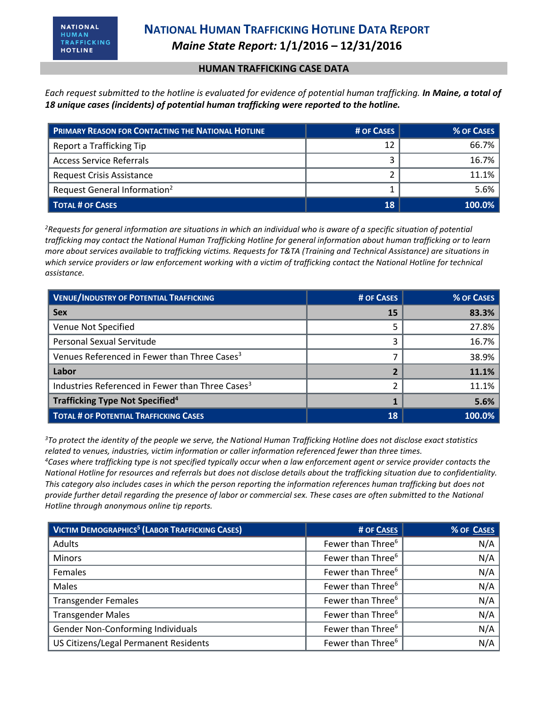#### **HUMAN TRAFFICKING CASE DATA**

*Each request submitted to the hotline is evaluated for evidence of potential human trafficking. In Maine, a total of 18 unique cases (incidents) of potential human trafficking were reported to the hotline.*

| <b>PRIMARY REASON FOR CONTACTING THE NATIONAL HOTLINE</b> | # OF CASES | % OF CASES |
|-----------------------------------------------------------|------------|------------|
| Report a Trafficking Tip                                  | 12         | 66.7%      |
| <b>Access Service Referrals</b>                           |            | 16.7%      |
| <b>Request Crisis Assistance</b>                          |            | $11.1\%$   |
| Request General Information <sup>2</sup>                  |            | 5.6%       |
| <b>TOTAL # OF CASES</b>                                   | 18         | $100.0\%$  |

*<sup>2</sup>Requests for general information are situations in which an individual who is aware of a specific situation of potential trafficking may contact the National Human Trafficking Hotline for general information about human trafficking or to learn more about services available to trafficking victims. Requests for T&TA (Training and Technical Assistance) are situations in which service providers or law enforcement working with a victim of trafficking contact the National Hotline for technical assistance.* 

| <b>VENUE/INDUSTRY OF POTENTIAL TRAFFICKING</b>               | # OF CASES | % OF CASES |
|--------------------------------------------------------------|------------|------------|
| <b>Sex</b>                                                   | 15         | 83.3%      |
| Venue Not Specified                                          |            | 27.8%      |
| <b>Personal Sexual Servitude</b>                             |            | 16.7%      |
| Venues Referenced in Fewer than Three Cases <sup>3</sup>     |            | 38.9%      |
| Labor                                                        |            | 11.1%      |
| Industries Referenced in Fewer than Three Cases <sup>3</sup> |            | 11.1%      |
| <b>Trafficking Type Not Specified</b> <sup>4</sup>           |            | 5.6%       |
| <b>TOTAL # OF POTENTIAL TRAFFICKING CASES</b>                | 18         | 100.0%     |

*<sup>3</sup>To protect the identity of the people we serve, the National Human Trafficking Hotline does not disclose exact statistics related to venues, industries, victim information or caller information referenced fewer than three times.* 

*<sup>4</sup>Cases where trafficking type is not specified typically occur when a law enforcement agent or service provider contacts the National Hotline for resources and referrals but does not disclose details about the trafficking situation due to confidentiality. This category also includes cases in which the person reporting the information references human trafficking but does not provide further detail regarding the presence of labor or commercial sex. These cases are often submitted to the National Hotline through anonymous online tip reports.*

| <b>VICTIM DEMOGRAPHICS<sup>5</sup> (LABOR TRAFFICKING CASES)</b> | # OF CASES                    | % OF CASES |
|------------------------------------------------------------------|-------------------------------|------------|
| Adults                                                           | Fewer than Three <sup>6</sup> | N/A        |
| <b>Minors</b>                                                    | Fewer than Three <sup>6</sup> | N/A        |
| Females                                                          | Fewer than Three <sup>6</sup> | N/A        |
| Males                                                            | Fewer than Three <sup>6</sup> | N/A        |
| <b>Transgender Females</b>                                       | Fewer than Three <sup>6</sup> | N/A        |
| <b>Transgender Males</b>                                         | Fewer than Three <sup>6</sup> | N/A        |
| Gender Non-Conforming Individuals                                | Fewer than Three <sup>6</sup> | N/A        |
| US Citizens/Legal Permanent Residents                            | Fewer than Three <sup>6</sup> | N/A        |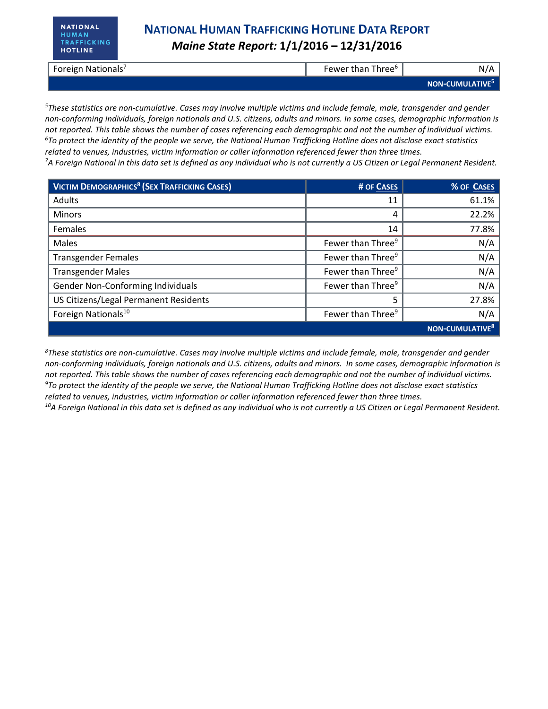# *Maine State Report:* **1/1/2016 – 12/31/2016**

| Foreign Nationals <sup>7</sup> | Fewer than Three <sup>®</sup> | N                           |
|--------------------------------|-------------------------------|-----------------------------|
|                                |                               | NON-CUMULATIVE <sup>5</sup> |

*<sup>5</sup>These statistics are non-cumulative. Cases may involve multiple victims and include female, male, transgender and gender non-conforming individuals, foreign nationals and U.S. citizens, adults and minors. In some cases, demographic information is not reported. This table shows the number of cases referencing each demographic and not the number of individual victims. <sup>6</sup>To protect the identity of the people we serve, the National Human Trafficking Hotline does not disclose exact statistics related to venues, industries, victim information or caller information referenced fewer than three times.* 

*<sup>7</sup>A Foreign National in this data set is defined as any individual who is not currently a US Citizen or Legal Permanent Resident.* 

| <b>VICTIM DEMOGRAPHICS<sup>8</sup> (SEX TRAFFICKING CASES)</b> | # OF CASES                    | % OF CASES           |
|----------------------------------------------------------------|-------------------------------|----------------------|
| Adults                                                         | 11                            | 61.1%                |
| <b>Minors</b>                                                  | 4                             | 22.2%                |
| Females                                                        | 14                            | 77.8%                |
| Males                                                          | Fewer than Three <sup>9</sup> | N/A                  |
| <b>Transgender Females</b>                                     | Fewer than Three <sup>9</sup> | N/A                  |
| <b>Transgender Males</b>                                       | Fewer than Three <sup>9</sup> | N/A                  |
| Gender Non-Conforming Individuals                              | Fewer than Three <sup>9</sup> | N/A                  |
| US Citizens/Legal Permanent Residents                          |                               | 27.8%                |
| Foreign Nationals <sup>10</sup>                                | Fewer than Three <sup>9</sup> | N/A                  |
|                                                                |                               | <b>NON-CUMULATIV</b> |

*<sup>8</sup>These statistics are non-cumulative. Cases may involve multiple victims and include female, male, transgender and gender non-conforming individuals, foreign nationals and U.S. citizens, adults and minors. In some cases, demographic information is not reported. This table shows the number of cases referencing each demographic and not the number of individual victims. <sup>9</sup>To protect the identity of the people we serve, the National Human Trafficking Hotline does not disclose exact statistics related to venues, industries, victim information or caller information referenced fewer than three times. 10A Foreign National in this data set is defined as any individual who is not currently a US Citizen or Legal Permanent Resident.*